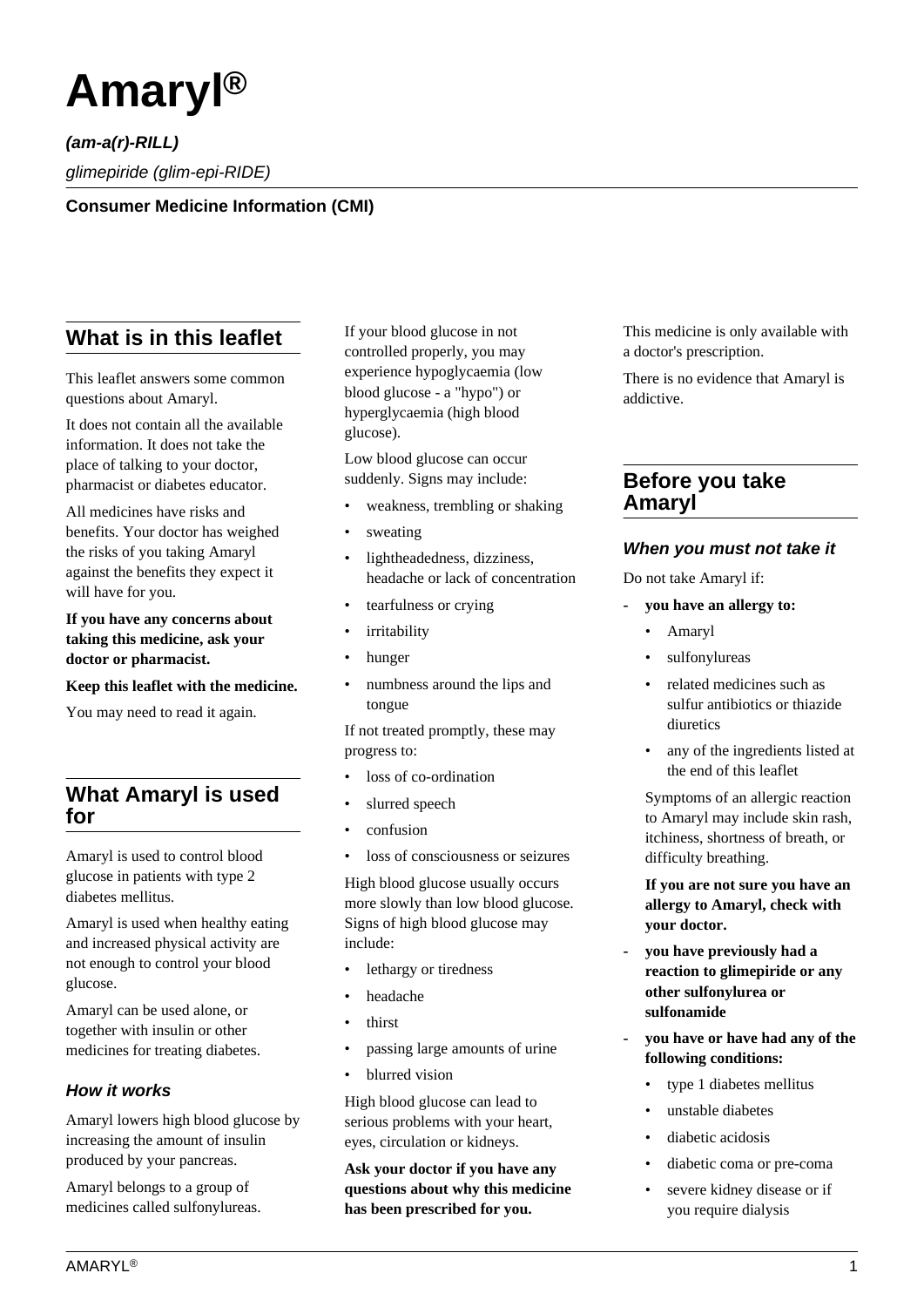

**(am-a(r)-RILL)** glimepiride (glim-epi-RIDE)

**Consumer Medicine Information (CMI)**

# **What is in this leaflet**

This leaflet answers some common questions about Amaryl.

It does not contain all the available information. It does not take the place of talking to your doctor, pharmacist or diabetes educator.

All medicines have risks and benefits. Your doctor has weighed the risks of you taking Amaryl against the benefits they expect it will have for you.

**If you have any concerns about taking this medicine, ask your doctor or pharmacist.**

**Keep this leaflet with the medicine.**

You may need to read it again.

# **What Amaryl is used for**

Amaryl is used to control blood glucose in patients with type 2 diabetes mellitus.

Amaryl is used when healthy eating and increased physical activity are not enough to control your blood glucose.

Amaryl can be used alone, or together with insulin or other medicines for treating diabetes.

## **How it works**

Amaryl lowers high blood glucose by increasing the amount of insulin produced by your pancreas.

Amaryl belongs to a group of medicines called sulfonylureas. If your blood glucose in not controlled properly, you may experience hypoglycaemia (low blood glucose - a "hypo") or hyperglycaemia (high blood glucose).

Low blood glucose can occur suddenly. Signs may include:

- weakness, trembling or shaking
- sweating
- lightheadedness, dizziness, headache or lack of concentration
- tearfulness or crying
- *irritability*
- hunger
- numbness around the lips and tongue

If not treated promptly, these may progress to:

- loss of co-ordination
- slurred speech
- confusion
- loss of consciousness or seizures

High blood glucose usually occurs more slowly than low blood glucose. Signs of high blood glucose may include:

- lethargy or tiredness
- headache
- thirst
- passing large amounts of urine
- blurred vision

High blood glucose can lead to serious problems with your heart, eyes, circulation or kidneys.

**Ask your doctor if you have any questions about why this medicine has been prescribed for you.**

This medicine is only available with a doctor's prescription.

There is no evidence that Amaryl is addictive.

## **Before you take Amaryl**

#### **When you must not take it**

Do not take Amaryl if:

- **you have an allergy to:**
	- Amaryl
	- sulfonylureas
	- related medicines such as sulfur antibiotics or thiazide diuretics
	- any of the ingredients listed at the end of this leaflet

 Symptoms of an allergic reaction to Amaryl may include skin rash, itchiness, shortness of breath, or difficulty breathing.

 **If you are not sure you have an allergy to Amaryl, check with your doctor.**

- **you have previously had a reaction to glimepiride or any other sulfonylurea or sulfonamide**
- **you have or have had any of the following conditions:**
	- type 1 diabetes mellitus
	- unstable diabetes
	- diabetic acidosis
	- diabetic coma or pre-coma
	- severe kidney disease or if you require dialysis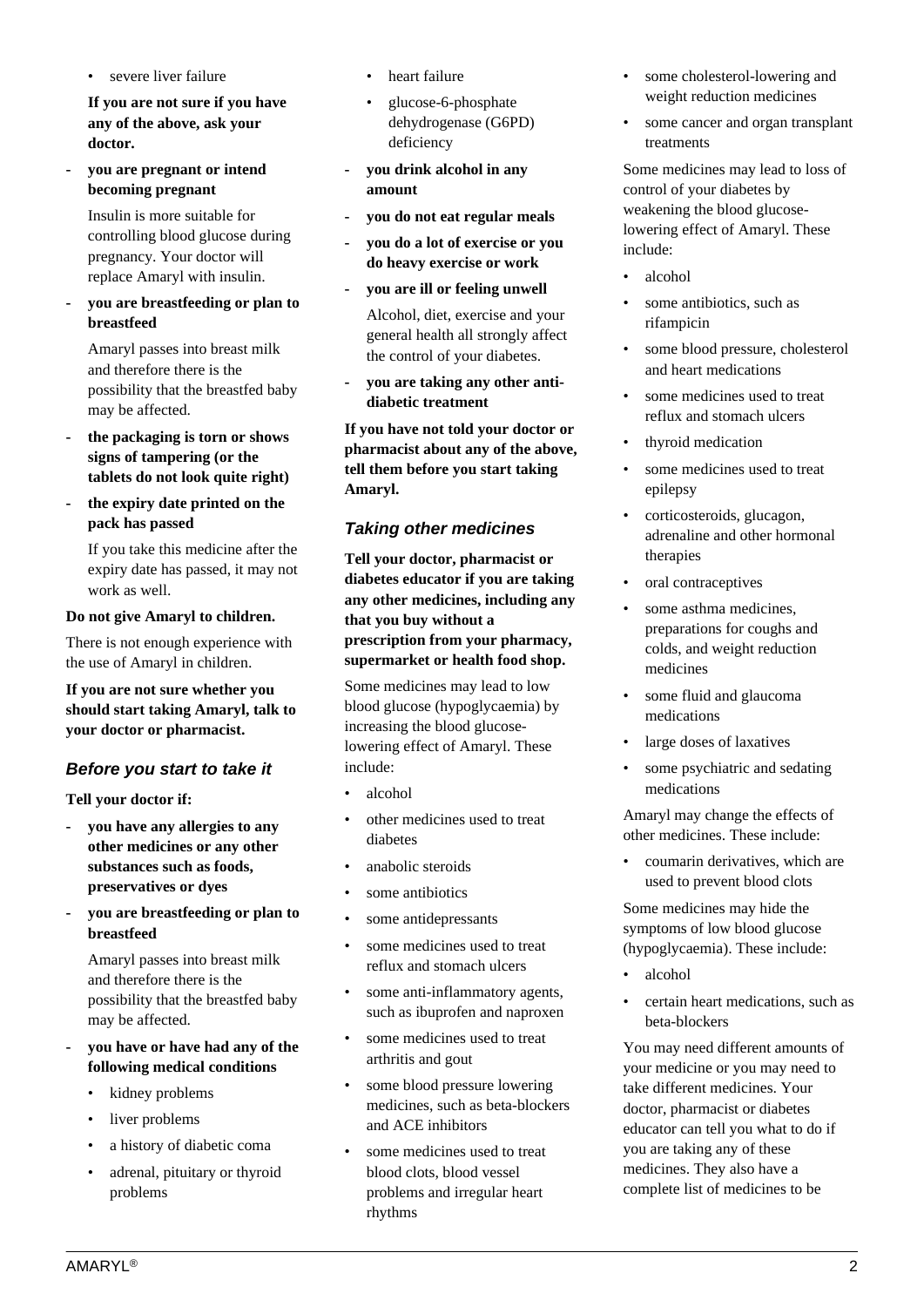$\mathsf{AMARYL}^{\circledR}$  . The contract of the contract of the contract of the contract of the contract of the contract of the contract of the contract of the contract of the contract of the contract of the contract of the contra

severe liver failure

 **If you are not sure if you have any of the above, ask your doctor.**

**- you are pregnant or intend becoming pregnant**

 Insulin is more suitable for controlling blood glucose during pregnancy. Your doctor will replace Amaryl with insulin.

**- you are breastfeeding or plan to breastfeed**

 Amaryl passes into breast milk and therefore there is the possibility that the breastfed baby may be affected.

- **the packaging is torn or shows signs of tampering (or the tablets do not look quite right)**
- **the expiry date printed on the pack has passed**

 If you take this medicine after the expiry date has passed, it may not work as well.

#### **Do not give Amaryl to children.**

There is not enough experience with the use of Amaryl in children.

**If you are not sure whether you should start taking Amaryl, talk to your doctor or pharmacist.**

## **Before you start to take it**

**Tell your doctor if:**

- **you have any allergies to any other medicines or any other substances such as foods, preservatives or dyes**
- **you are breastfeeding or plan to breastfeed**

 Amaryl passes into breast milk and therefore there is the possibility that the breastfed baby may be affected.

- **you have or have had any of the following medical conditions**
	- kidney problems
	- liver problems
	- a history of diabetic coma
	- adrenal, pituitary or thyroid problems
- heart failure
- glucose-6-phosphate dehydrogenase (G6PD) deficiency
- **you drink alcohol in any amount**
- **you do not eat regular meals**
- **you do a lot of exercise or you do heavy exercise or work**
- **you are ill or feeling unwell** Alcohol, diet, exercise and your general health all strongly affect the control of your diabetes.
- **you are taking any other antidiabetic treatment**

**If you have not told your doctor or pharmacist about any of the above, tell them before you start taking Amaryl.**

## **Taking other medicines**

**Tell your doctor, pharmacist or diabetes educator if you are taking any other medicines, including any that you buy without a prescription from your pharmacy, supermarket or health food shop.**

Some medicines may lead to low blood glucose (hypoglycaemia) by increasing the blood glucoselowering effect of Amaryl. These include:

- alcohol
- other medicines used to treat diabetes
- anabolic steroids
- some antibiotics
- some antidepressants
- some medicines used to treat reflux and stomach ulcers
- some anti-inflammatory agents, such as ibuprofen and naproxen
- some medicines used to treat arthritis and gout
- some blood pressure lowering medicines, such as beta-blockers and ACE inhibitors
- some medicines used to treat blood clots, blood vessel problems and irregular heart rhythms
- some cholesterol-lowering and weight reduction medicines
- some cancer and organ transplant treatments

Some medicines may lead to loss of control of your diabetes by weakening the blood glucoselowering effect of Amaryl. These include:

- alcohol
- some antibiotics, such as rifampicin
- some blood pressure, cholesterol and heart medications
- some medicines used to treat reflux and stomach ulcers
- thyroid medication
- some medicines used to treat epilepsy
- corticosteroids, glucagon, adrenaline and other hormonal therapies
- oral contraceptives
- some asthma medicines, preparations for coughs and colds, and weight reduction medicines
- some fluid and glaucoma medications
- large doses of laxatives
- some psychiatric and sedating medications

Amaryl may change the effects of other medicines. These include:

• coumarin derivatives, which are used to prevent blood clots

Some medicines may hide the symptoms of low blood glucose (hypoglycaemia). These include:

- alcohol
- certain heart medications, such as beta-blockers

You may need different amounts of your medicine or you may need to take different medicines. Your doctor, pharmacist or diabetes educator can tell you what to do if you are taking any of these medicines. They also have a complete list of medicines to be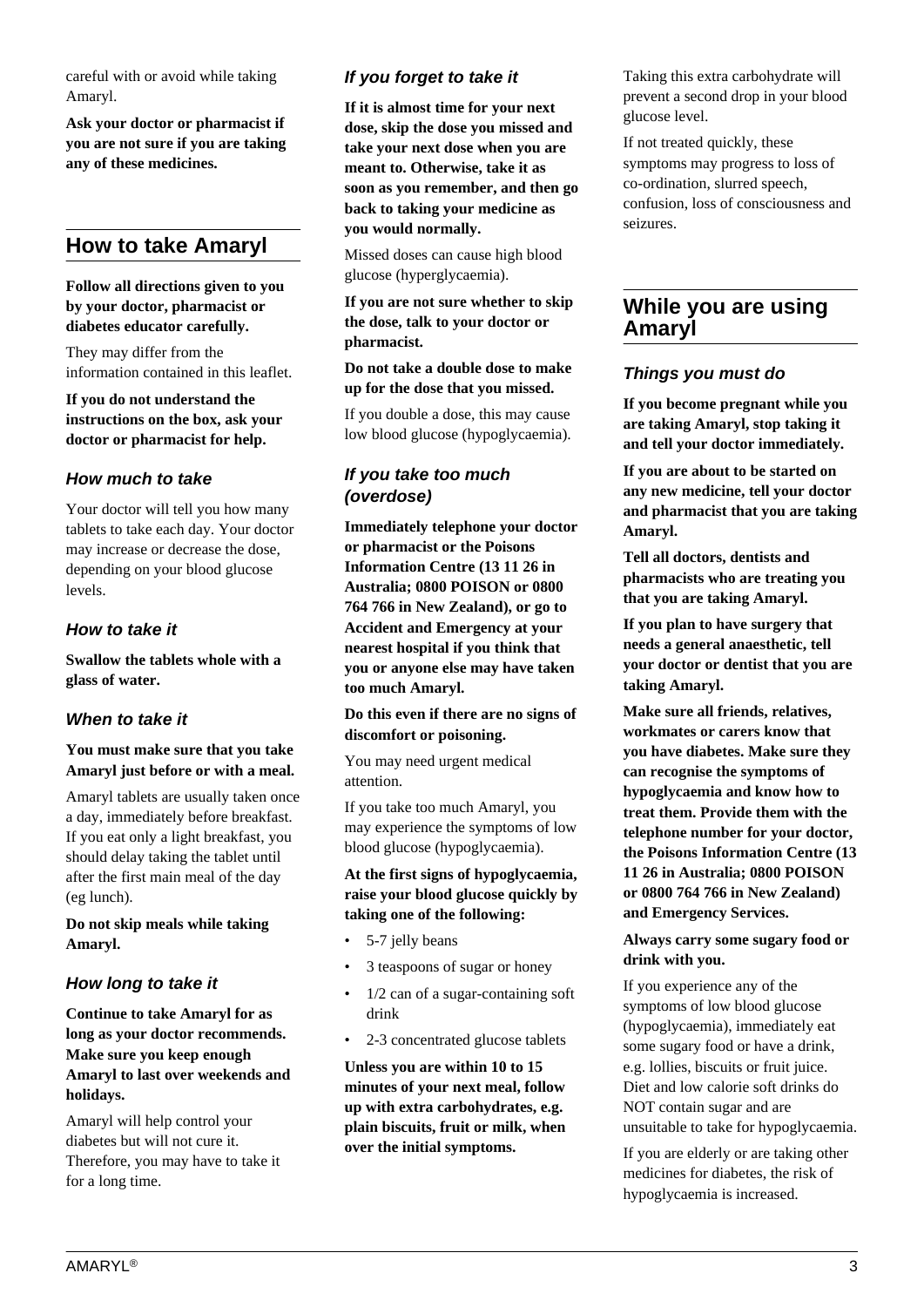careful with or avoid while taking Amaryl.

**Ask your doctor or pharmacist if you are not sure if you are taking any of these medicines.**

# **How to take Amaryl**

#### **Follow all directions given to you by your doctor, pharmacist or diabetes educator carefully.**

They may differ from the information contained in this leaflet.

**If you do not understand the instructions on the box, ask your doctor or pharmacist for help.**

### **How much to take**

Your doctor will tell you how many tablets to take each day. Your doctor may increase or decrease the dose, depending on your blood glucose levels.

#### **How to take it**

**Swallow the tablets whole with a glass of water.**

#### **When to take it**

#### **You must make sure that you take Amaryl just before or with a meal.**

Amaryl tablets are usually taken once a day, immediately before breakfast. If you eat only a light breakfast, you should delay taking the tablet until after the first main meal of the day (eg lunch).

**Do not skip meals while taking Amaryl.**

## **How long to take it**

**Continue to take Amaryl for as long as your doctor recommends. Make sure you keep enough Amaryl to last over weekends and holidays.**

Amaryl will help control your diabetes but will not cure it. Therefore, you may have to take it for a long time.

## **If you forget to take it**

**If it is almost time for your next dose, skip the dose you missed and take your next dose when you are meant to. Otherwise, take it as soon as you remember, and then go back to taking your medicine as you would normally.**

Missed doses can cause high blood glucose (hyperglycaemia).

**If you are not sure whether to skip the dose, talk to your doctor or pharmacist.**

**Do not take a double dose to make up for the dose that you missed.**

If you double a dose, this may cause low blood glucose (hypoglycaemia).

## **If you take too much (overdose)**

**Immediately telephone your doctor or pharmacist or the Poisons Information Centre (13 11 26 in Australia; 0800 POISON or 0800 764 766 in New Zealand), or go to Accident and Emergency at your nearest hospital if you think that you or anyone else may have taken too much Amaryl.**

**Do this even if there are no signs of discomfort or poisoning.**

You may need urgent medical attention.

If you take too much Amaryl, you may experience the symptoms of low blood glucose (hypoglycaemia).

#### **At the first signs of hypoglycaemia, raise your blood glucose quickly by taking one of the following:**

- 5-7 jelly beans
- 3 teaspoons of sugar or honey
- 1/2 can of a sugar-containing soft drink
- 2-3 concentrated glucose tablets

**Unless you are within 10 to 15 minutes of your next meal, follow up with extra carbohydrates, e.g. plain biscuits, fruit or milk, when over the initial symptoms.**

Taking this extra carbohydrate will prevent a second drop in your blood glucose level.

If not treated quickly, these symptoms may progress to loss of co-ordination, slurred speech, confusion, loss of consciousness and seizures.

## **While you are using Amaryl**

#### **Things you must do**

**If you become pregnant while you are taking Amaryl, stop taking it and tell your doctor immediately.**

**If you are about to be started on any new medicine, tell your doctor and pharmacist that you are taking Amaryl.**

**Tell all doctors, dentists and pharmacists who are treating you that you are taking Amaryl.**

**If you plan to have surgery that needs a general anaesthetic, tell your doctor or dentist that you are taking Amaryl.**

**Make sure all friends, relatives, workmates or carers know that you have diabetes. Make sure they can recognise the symptoms of hypoglycaemia and know how to treat them. Provide them with the telephone number for your doctor, the Poisons Information Centre (13 11 26 in Australia; 0800 POISON or 0800 764 766 in New Zealand) and Emergency Services.**

#### **Always carry some sugary food or drink with you.**

If you experience any of the symptoms of low blood glucose (hypoglycaemia), immediately eat some sugary food or have a drink, e.g. lollies, biscuits or fruit juice. Diet and low calorie soft drinks do NOT contain sugar and are unsuitable to take for hypoglycaemia.

If you are elderly or are taking other medicines for diabetes, the risk of hypoglycaemia is increased.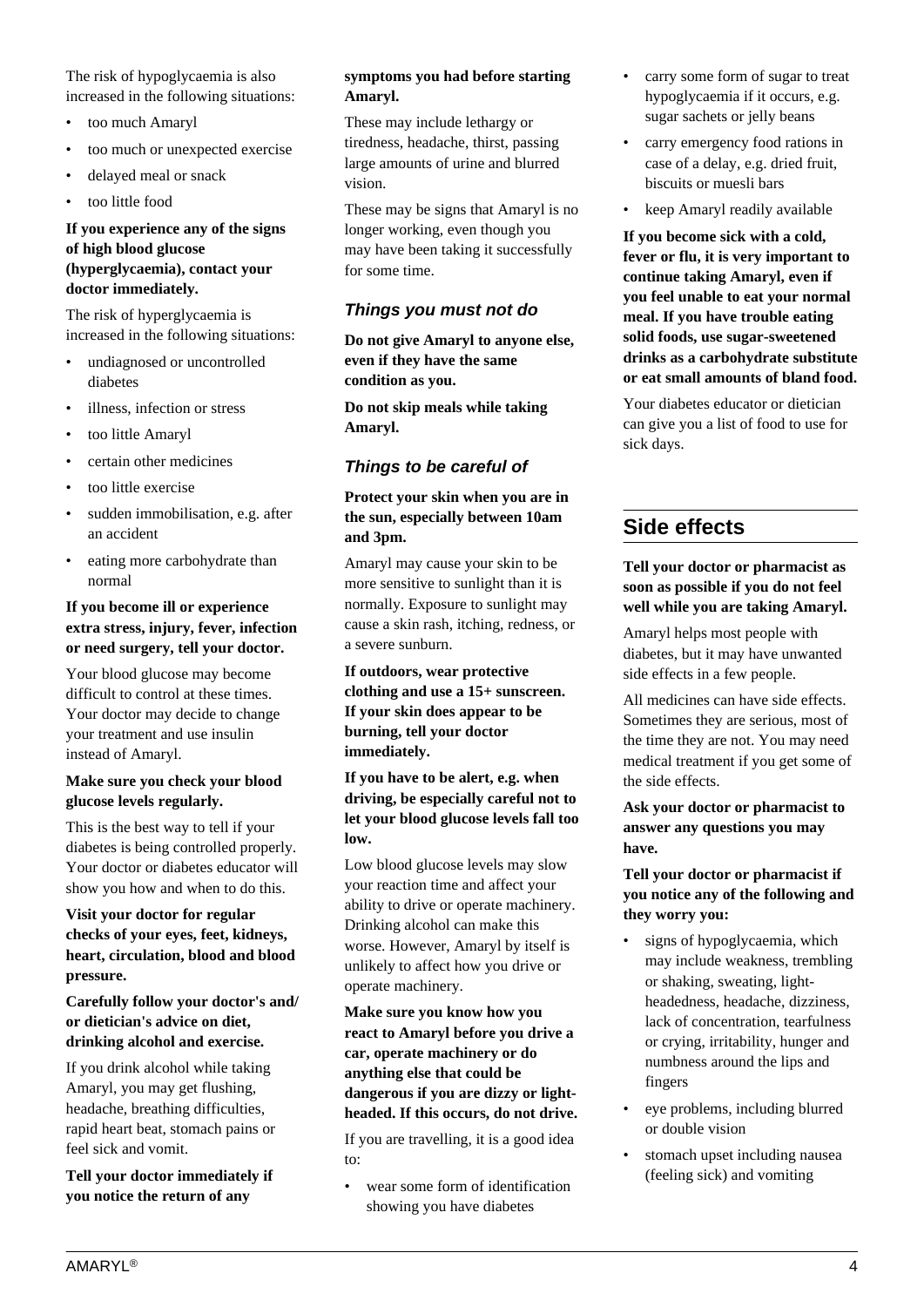The risk of hypoglycaemia is also increased in the following situations:

- too much Amaryl
- too much or unexpected exercise
- delayed meal or snack
- too little food

#### **If you experience any of the signs of high blood glucose (hyperglycaemia), contact your doctor immediately.**

The risk of hyperglycaemia is increased in the following situations:

- undiagnosed or uncontrolled diabetes
- illness, infection or stress
- too little Amaryl
- certain other medicines
- too little exercise
- sudden immobilisation, e.g. after an accident
- eating more carbohydrate than normal

#### **If you become ill or experience extra stress, injury, fever, infection or need surgery, tell your doctor.**

Your blood glucose may become difficult to control at these times. Your doctor may decide to change your treatment and use insulin instead of Amaryl.

#### **Make sure you check your blood glucose levels regularly.**

This is the best way to tell if your diabetes is being controlled properly. Your doctor or diabetes educator will show you how and when to do this.

#### **Visit your doctor for regular checks of your eyes, feet, kidneys, heart, circulation, blood and blood pressure.**

#### **Carefully follow your doctor's and/ or dietician's advice on diet, drinking alcohol and exercise.**

If you drink alcohol while taking Amaryl, you may get flushing, headache, breathing difficulties, rapid heart beat, stomach pains or feel sick and vomit.

**Tell your doctor immediately if you notice the return of any**

#### **symptoms you had before starting Amaryl.**

These may include lethargy or tiredness, headache, thirst, passing large amounts of urine and blurred vision.

These may be signs that Amaryl is no longer working, even though you may have been taking it successfully for some time.

## **Things you must not do**

**Do not give Amaryl to anyone else, even if they have the same condition as you.**

**Do not skip meals while taking Amaryl.**

## **Things to be careful of**

#### **Protect your skin when you are in the sun, especially between 10am and 3pm.**

Amaryl may cause your skin to be more sensitive to sunlight than it is normally. Exposure to sunlight may cause a skin rash, itching, redness, or a severe sunburn.

**If outdoors, wear protective clothing and use a 15+ sunscreen. If your skin does appear to be burning, tell your doctor immediately.**

**If you have to be alert, e.g. when driving, be especially careful not to let your blood glucose levels fall too low.**

Low blood glucose levels may slow your reaction time and affect your ability to drive or operate machinery. Drinking alcohol can make this worse. However, Amaryl by itself is unlikely to affect how you drive or operate machinery.

#### **Make sure you know how you react to Amaryl before you drive a car, operate machinery or do anything else that could be dangerous if you are dizzy or lightheaded. If this occurs, do not drive.**

If you are travelling, it is a good idea to:

wear some form of identification showing you have diabetes

- carry some form of sugar to treat hypoglycaemia if it occurs, e.g. sugar sachets or jelly beans
- carry emergency food rations in case of a delay, e.g. dried fruit, biscuits or muesli bars
- keep Amaryl readily available

**If you become sick with a cold, fever or flu, it is very important to continue taking Amaryl, even if you feel unable to eat your normal meal. If you have trouble eating solid foods, use sugar-sweetened drinks as a carbohydrate substitute or eat small amounts of bland food.**

Your diabetes educator or dietician can give you a list of food to use for sick days.

# **Side effects**

#### **Tell your doctor or pharmacist as soon as possible if you do not feel well while you are taking Amaryl.**

Amaryl helps most people with diabetes, but it may have unwanted side effects in a few people.

All medicines can have side effects. Sometimes they are serious, most of the time they are not. You may need medical treatment if you get some of the side effects.

#### **Ask your doctor or pharmacist to answer any questions you may have.**

#### **Tell your doctor or pharmacist if you notice any of the following and they worry you:**

- signs of hypoglycaemia, which may include weakness, trembling or shaking, sweating, lightheadedness, headache, dizziness, lack of concentration, tearfulness or crying, irritability, hunger and numbness around the lips and fingers
- eye problems, including blurred or double vision
- stomach upset including nausea (feeling sick) and vomiting